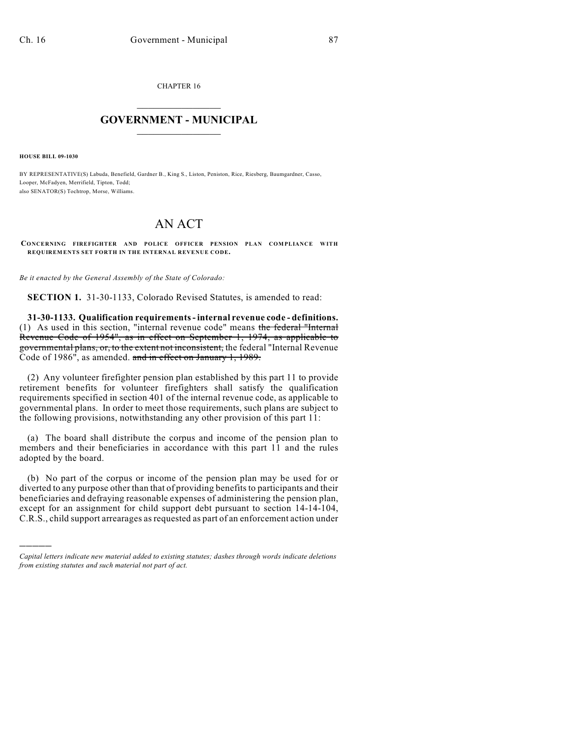CHAPTER 16

## $\mathcal{L}_\text{max}$  . The set of the set of the set of the set of the set of the set of the set of the set of the set of the set of the set of the set of the set of the set of the set of the set of the set of the set of the set **GOVERNMENT - MUNICIPAL**  $\_$

**HOUSE BILL 09-1030**

)))))

BY REPRESENTATIVE(S) Labuda, Benefield, Gardner B., King S., Liston, Peniston, Rice, Riesberg, Baumgardner, Casso, Looper, McFadyen, Merrifield, Tipton, Todd; also SENATOR(S) Tochtrop, Morse, Williams.

## AN ACT

**CONCERNING FIREFIGHTER AND POLICE OFFICER PENSION PLAN COMPLIANCE WITH REQUIREMENTS SET FORTH IN THE INTERNAL REVENUE CODE.**

*Be it enacted by the General Assembly of the State of Colorado:*

**SECTION 1.** 31-30-1133, Colorado Revised Statutes, is amended to read:

**31-30-1133. Qualification requirements - internal revenue code - definitions.** (1) As used in this section, "internal revenue code" means the federal "Internal Revenue Code of 1954", as in effect on September 1, 1974, as applicable to governmental plans, or, to the extent not inconsistent, the federal "Internal Revenue Code of 1986", as amended. and in effect on January 1, 1989.

(2) Any volunteer firefighter pension plan established by this part 11 to provide retirement benefits for volunteer firefighters shall satisfy the qualification requirements specified in section 401 of the internal revenue code, as applicable to governmental plans. In order to meet those requirements, such plans are subject to the following provisions, notwithstanding any other provision of this part 11:

(a) The board shall distribute the corpus and income of the pension plan to members and their beneficiaries in accordance with this part 11 and the rules adopted by the board.

(b) No part of the corpus or income of the pension plan may be used for or diverted to any purpose other than that of providing benefits to participants and their beneficiaries and defraying reasonable expenses of administering the pension plan, except for an assignment for child support debt pursuant to section 14-14-104, C.R.S., child support arrearages as requested as part of an enforcement action under

*Capital letters indicate new material added to existing statutes; dashes through words indicate deletions from existing statutes and such material not part of act.*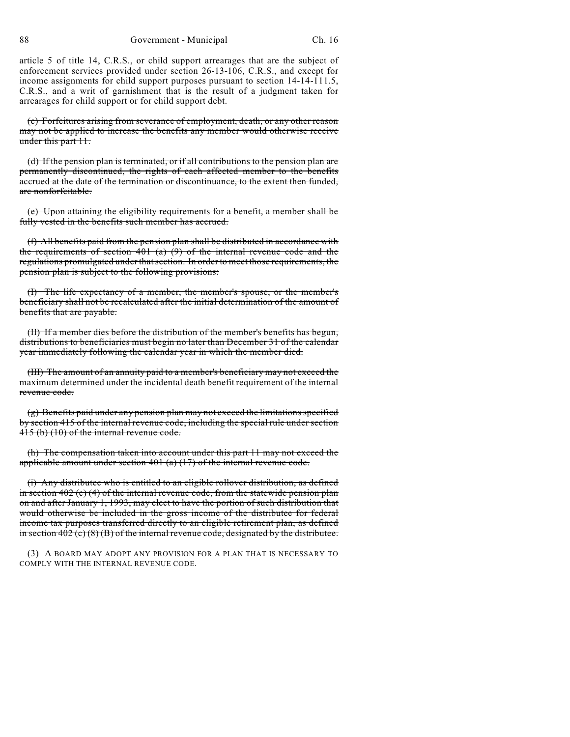88 Government - Municipal Ch. 16

article 5 of title 14, C.R.S., or child support arrearages that are the subject of enforcement services provided under section 26-13-106, C.R.S., and except for income assignments for child support purposes pursuant to section 14-14-111.5, C.R.S., and a writ of garnishment that is the result of a judgment taken for arrearages for child support or for child support debt.

(c) Forfeitures arising from severance of employment, death, or any other reason may not be applied to increase the benefits any member would otherwise receive under this part 11.

(d) If the pension plan is terminated, or if all contributions to the pension plan are permanently discontinued, the rights of each affected member to the benefits accrued at the date of the termination or discontinuance, to the extent then funded, are nonforfeitable.

(e) Upon attaining the eligibility requirements for a benefit, a member shall be fully vested in the benefits such member has accrued.

(f) All benefits paid from the pension plan shall be distributed in accordance with the requirements of section  $401$  (a)  $(9)$  of the internal revenue code and the regulations promulgated under thatsection. In order to meet those requirements, the pension plan is subject to the following provisions:

(I) The life expectancy of a member, the member's spouse, or the member's beneficiary shall not be recalculated after the initial determination of the amount of benefits that are payable.

(II) If a member dies before the distribution of the member's benefits has begun, distributions to beneficiaries must begin no later than December 31 of the calendar year immediately following the calendar year in which the member died.

(III) The amount of an annuity paid to a member's beneficiary may not exceed the maximum determined under the incidental death benefit requirement of the internal revenue code.

(g) Benefits paid under any pension plan may not exceed the limitations specified by section 415 of the internal revenue code, including the special rule under section 415 (b) (10) of the internal revenue code.

(h) The compensation taken into account under this part 11 may not exceed the applicable amount under section  $401$  (a) (17) of the internal revenue code.

(i) Any distributee who is entitled to an eligible rollover distribution, as defined in section  $402$  (c) (4) of the internal revenue code, from the statewide pension plan on and after January 1, 1993, may elect to have the portion of such distribution that would otherwise be included in the gross income of the distributee for federal income tax purposes transferred directly to an eligible retirement plan, as defined in section 402 (c)  $(8)$  (B) of the internal revenue code, designated by the distributee.

(3) A BOARD MAY ADOPT ANY PROVISION FOR A PLAN THAT IS NECESSARY TO COMPLY WITH THE INTERNAL REVENUE CODE.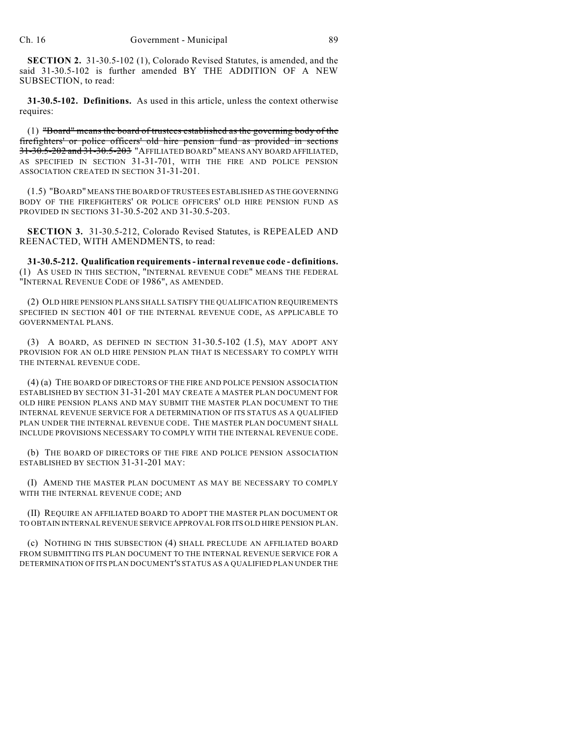**SECTION 2.** 31-30.5-102 (1), Colorado Revised Statutes, is amended, and the said 31-30.5-102 is further amended BY THE ADDITION OF A NEW SUBSECTION, to read:

**31-30.5-102. Definitions.** As used in this article, unless the context otherwise requires:

(1) "Board" means the board of trustees established as the governing body of the firefighters' or police officers' old hire pension fund as provided in sections 31-30.5-202 and 31-30.5-203 "AFFILIATED BOARD" MEANS ANY BOARD AFFILIATED, AS SPECIFIED IN SECTION 31-31-701, WITH THE FIRE AND POLICE PENSION ASSOCIATION CREATED IN SECTION 31-31-201.

(1.5) "BOARD" MEANS THE BOARD OF TRUSTEES ESTABLISHED AS THE GOVERNING BODY OF THE FIREFIGHTERS' OR POLICE OFFICERS' OLD HIRE PENSION FUND AS PROVIDED IN SECTIONS 31-30.5-202 AND 31-30.5-203.

**SECTION 3.** 31-30.5-212, Colorado Revised Statutes, is REPEALED AND REENACTED, WITH AMENDMENTS, to read:

**31-30.5-212. Qualification requirements - internal revenue code - definitions.** (1) AS USED IN THIS SECTION, "INTERNAL REVENUE CODE" MEANS THE FEDERAL "INTERNAL REVENUE CODE OF 1986", AS AMENDED.

(2) OLD HIRE PENSION PLANS SHALL SATISFY THE QUALIFICATION REQUIREMENTS SPECIFIED IN SECTION 401 OF THE INTERNAL REVENUE CODE, AS APPLICABLE TO GOVERNMENTAL PLANS.

(3) A BOARD, AS DEFINED IN SECTION 31-30.5-102 (1.5), MAY ADOPT ANY PROVISION FOR AN OLD HIRE PENSION PLAN THAT IS NECESSARY TO COMPLY WITH THE INTERNAL REVENUE CODE.

(4) (a) THE BOARD OF DIRECTORS OF THE FIRE AND POLICE PENSION ASSOCIATION ESTABLISHED BY SECTION 31-31-201 MAY CREATE A MASTER PLAN DOCUMENT FOR OLD HIRE PENSION PLANS AND MAY SUBMIT THE MASTER PLAN DOCUMENT TO THE INTERNAL REVENUE SERVICE FOR A DETERMINATION OF ITS STATUS AS A QUALIFIED PLAN UNDER THE INTERNAL REVENUE CODE. THE MASTER PLAN DOCUMENT SHALL INCLUDE PROVISIONS NECESSARY TO COMPLY WITH THE INTERNAL REVENUE CODE.

(b) THE BOARD OF DIRECTORS OF THE FIRE AND POLICE PENSION ASSOCIATION ESTABLISHED BY SECTION 31-31-201 MAY:

(I) AMEND THE MASTER PLAN DOCUMENT AS MAY BE NECESSARY TO COMPLY WITH THE INTERNAL REVENUE CODE; AND

(II) REQUIRE AN AFFILIATED BOARD TO ADOPT THE MASTER PLAN DOCUMENT OR TO OBTAIN INTERNAL REVENUE SERVICE APPROVAL FOR ITS OLD HIRE PENSION PLAN.

(c) NOTHING IN THIS SUBSECTION (4) SHALL PRECLUDE AN AFFILIATED BOARD FROM SUBMITTING ITS PLAN DOCUMENT TO THE INTERNAL REVENUE SERVICE FOR A DETERMINATION OF ITS PLAN DOCUMENT'S STATUS AS A QUALIFIED PLAN UNDER THE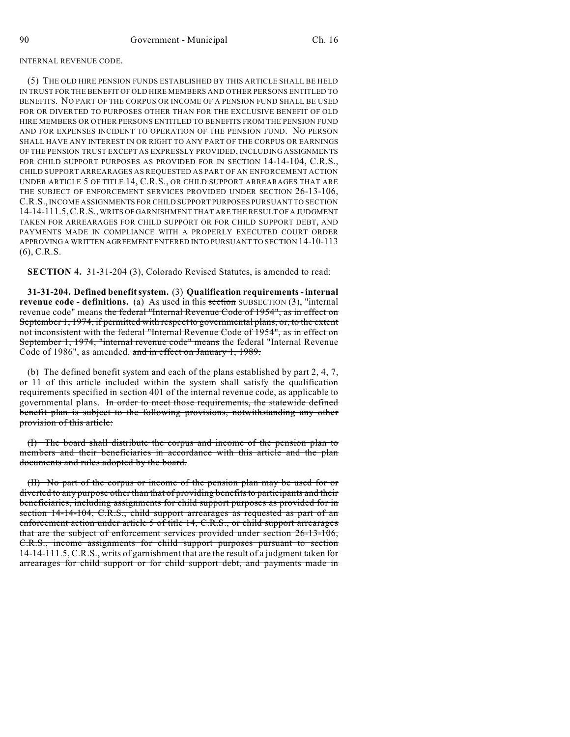## INTERNAL REVENUE CODE.

(5) THE OLD HIRE PENSION FUNDS ESTABLISHED BY THIS ARTICLE SHALL BE HELD IN TRUST FOR THE BENEFIT OF OLD HIRE MEMBERS AND OTHER PERSONS ENTITLED TO BENEFITS. NO PART OF THE CORPUS OR INCOME OF A PENSION FUND SHALL BE USED FOR OR DIVERTED TO PURPOSES OTHER THAN FOR THE EXCLUSIVE BENEFIT OF OLD HIRE MEMBERS OR OTHER PERSONS ENTITLED TO BENEFITS FROM THE PENSION FUND AND FOR EXPENSES INCIDENT TO OPERATION OF THE PENSION FUND. NO PERSON SHALL HAVE ANY INTEREST IN OR RIGHT TO ANY PART OF THE CORPUS OR EARNINGS OF THE PENSION TRUST EXCEPT AS EXPRESSLY PROVIDED, INCLUDING ASSIGNMENTS FOR CHILD SUPPORT PURPOSES AS PROVIDED FOR IN SECTION 14-14-104, C.R.S., CHILD SUPPORT ARREARAGES AS REQUESTED AS PART OF AN ENFORCEMENT ACTION UNDER ARTICLE 5 OF TITLE 14, C.R.S., OR CHILD SUPPORT ARREARAGES THAT ARE THE SUBJECT OF ENFORCEMENT SERVICES PROVIDED UNDER SECTION 26-13-106, C.R.S., INCOME ASSIGNMENTS FOR CHILD SUPPORT PURPOSES PURSUANT TO SECTION 14-14-111.5,C.R.S., WRITS OF GARNISHMENT THAT ARE THE RESULT OF A JUDGMENT TAKEN FOR ARREARAGES FOR CHILD SUPPORT OR FOR CHILD SUPPORT DEBT, AND PAYMENTS MADE IN COMPLIANCE WITH A PROPERLY EXECUTED COURT ORDER APPROVING A WRITTEN AGREEMENT ENTERED INTO PURSUANT TO SECTION 14-10-113 (6), C.R.S.

**SECTION 4.** 31-31-204 (3), Colorado Revised Statutes, is amended to read:

**31-31-204. Defined benefit system.** (3) **Qualification requirements - internal revenue code - definitions.** (a) As used in this **section** SUBSECTION (3), "internal revenue code" means the federal "Internal Revenue Code of 1954", as in effect on September 1, 1974, if permitted with respect to governmental plans, or, to the extent not inconsistent with the federal "Internal Revenue Code of 1954", as in effect on September 1, 1974, "internal revenue code" means the federal "Internal Revenue Code of 1986", as amended. and in effect on January 1, 1989.

(b) The defined benefit system and each of the plans established by part 2, 4, 7, or 11 of this article included within the system shall satisfy the qualification requirements specified in section 401 of the internal revenue code, as applicable to governmental plans. In order to meet those requirements, the statewide defined benefit plan is subject to the following provisions, notwithstanding any other provision of this article:

(I) The board shall distribute the corpus and income of the pension plan to members and their beneficiaries in accordance with this article and the plan documents and rules adopted by the board.

(II) No part of the corpus or income of the pension plan may be used for or diverted to any purpose other than that of providing benefitsto participants and their beneficiaries, including assignments for child support purposes as provided for in section 14-14-104, C.R.S., child support arrearages as requested as part of an enforcement action under article 5 of title 14, C.R.S., or child support arrearages that are the subject of enforcement services provided under section 26-13-106, C.R.S., income assignments for child support purposes pursuant to section 14-14-111.5, C.R.S., writs of garnishment that are the result of a judgment taken for arrearages for child support or for child support debt, and payments made in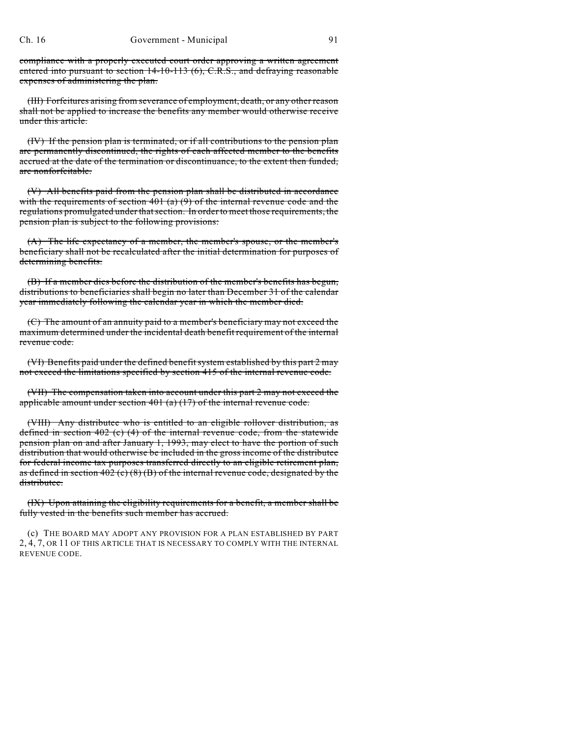compliance with a properly executed court order approving a written agreement entered into pursuant to section 14-10-113 (6), C.R.S., and defraying reasonable expenses of administering the plan.

(III) Forfeitures arising from severance of employment, death, or any other reason shall not be applied to increase the benefits any member would otherwise receive under this article.

(IV) If the pension plan is terminated, or if all contributions to the pension plan are permanently discontinued, the rights of each affected member to the benefits accrued at the date of the termination or discontinuance, to the extent then funded, are nonforfeitable.

(V) All benefits paid from the pension plan shall be distributed in accordance with the requirements of section  $401$  (a) (9) of the internal revenue code and the regulations promulgated under that section. In order to meet those requirements, the pension plan is subject to the following provisions:

(A) The life expectancy of a member, the member's spouse, or the member's beneficiary shall not be recalculated after the initial determination for purposes of determining benefits.

(B) If a member dies before the distribution of the member's benefits has begun, distributions to beneficiaries shall begin no later than December 31 of the calendar year immediately following the calendar year in which the member died.

(C) The amount of an annuity paid to a member's beneficiary may not exceed the maximum determined under the incidental death benefit requirement of the internal revenue code.

(VI) Benefits paid under the defined benefit system established by this part 2 may not exceed the limitations specified by section 415 of the internal revenue code.

(VII) The compensation taken into account under this part 2 may not exceed the applicable amount under section  $401$  (a)  $(17)$  of the internal revenue code.

(VIII) Any distributee who is entitled to an eligible rollover distribution, as defined in section 402 (c) (4) of the internal revenue code, from the statewide pension plan on and after January 1, 1993, may elect to have the portion of such distribution that would otherwise be included in the gross income of the distributee for federal income tax purposes transferred directly to an eligible retirement plan, as defined in section  $402$  (c) (8) (B) of the internal revenue code, designated by the distributee.

(IX) Upon attaining the eligibility requirements for a benefit, a member shall be fully vested in the benefits such member has accrued.

(c) THE BOARD MAY ADOPT ANY PROVISION FOR A PLAN ESTABLISHED BY PART 2, 4, 7, OR 11 OF THIS ARTICLE THAT IS NECESSARY TO COMPLY WITH THE INTERNAL REVENUE CODE.